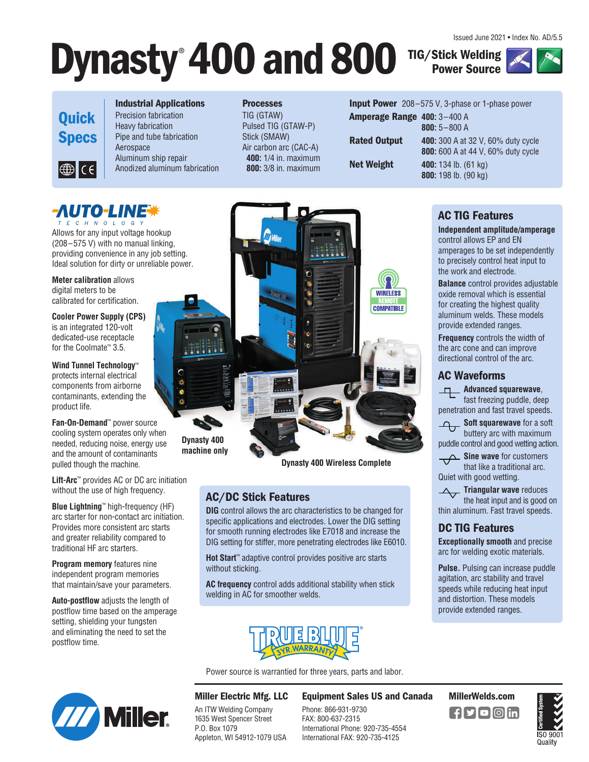Issued June 2021 • Index No. AD/5.5

**TIG/Stick Welding Power Source** 





#### **Industrial Applications**

W

Precision fabrication Heavy fabrication Pipe and tube fabrication Aerospace Aluminum ship repair Anodized aluminum fabrication **Processes** TIG (GTAW) Pulsed TIG (GTAW-P) Stick (SMAW)

**Dynasty**® **400 and 800**

Air carbon arc (CAC-A) **400:** 1/4 in. maximum **800:** 3/8 in. maximum

|                                    | <b>Input Power</b> 208-575 V, 3-phase or 1-phase power |
|------------------------------------|--------------------------------------------------------|
| <b>Amperage Range 400: 3–400 A</b> |                                                        |
|                                    | $800:5 - 800A$                                         |
| <b>Rated Output</b>                | <b>400:</b> 300 A at 32 V, 60% duty cycle              |
|                                    | <b>800:</b> 600 A at 44 V, 60% duty cycle              |
| Net Weight                         | 400: 134 lb. $(61 \text{ kg})$                         |
|                                    | 800: 198 lb. (90 kg)                                   |
|                                    |                                                        |

### **-AUTO-LINE\*** T E C H N O L O G Y

Allows for any input voltage hookup (208–575 V) with no manual linking, providing convenience in any job setting. Ideal solution for dirty or unreliable power.

**Meter calibration** allows digital meters to be calibrated for certification.

**Cooler Power Supply (CPS)** is an integrated 120-volt dedicated-use receptacle for the Coolmate™ 3.5.

**Wind Tunnel Technology**™ protects internal electrical components from airborne contaminants, extending the product life.

**Fan-On-Demand**™ power source cooling system operates only when needed, reducing noise, energy use and the amount of contaminants pulled though the machine.

**Lift-Arc**™ provides AC or DC arc initiation without the use of high frequency.

**Blue Lightning**™ high-frequency (HF) arc starter for non-contact arc initiation. Provides more consistent arc starts and greater reliability compared to traditional HF arc starters.

**Program memory** features nine independent program memories that maintain/save your parameters.

**Auto-postflow** adjusts the length of postflow time based on the amperage setting, shielding your tungsten and eliminating the need to set the postflow time.



**Dynasty 400 Wireless Complete**

## **AC/DC Stick Features**

**DIG** control allows the arc characteristics to be changed for specific applications and electrodes. Lower the DIG setting for smooth running electrodes like E7018 and increase the DIG setting for stiffer, more penetrating electrodes like E6010.

**Hot Start**™ adaptive control provides positive arc starts without sticking.

**AC frequency** control adds additional stability when stick welding in AC for smoother welds.



Power source is warrantied for three years, parts and labor.

**Miller Electric Mfg. LLC Miller** An ITW Welding Company 1635 West Spencer Street P.O. Box 1079 Appleton, WI 54912-1079 USA

**Equipment Sales US and Canada MillerWelds.com**

Phone: 866-931-9730 FAX: 800-637-2315 International Phone: 920-735-4554 International FAX: 920-735-4125

### **AC TIG Features**

**Independent amplitude/amperage** control allows EP and EN amperages to be set independently to precisely control heat input to the work and electrode.

**Balance** control provides adjustable oxide removal which is essential for creating the highest quality aluminum welds. These models provide extended ranges.

**Frequency** controls the width of the arc cone and can improve directional control of the arc.

## **AC Waveforms**

**Advanced squarewave**, fast freezing puddle, deep penetration and fast travel speeds.

**Soft squarewave** for a soft

buttery arc with maximum puddle control and good wetting action.

Sine wave for customers that like a traditional arc. Quiet with good wetting.

**Triangular wave** reduces the heat input and is good on thin aluminum. Fast travel speeds.

### **DC TIG Features**

**Exceptionally smooth** and precise arc for welding exotic materials.

**Pulse.** Pulsing can increase puddle agitation, arc stability and travel speeds while reducing heat input and distortion. These models provide extended ranges.



Oualitv





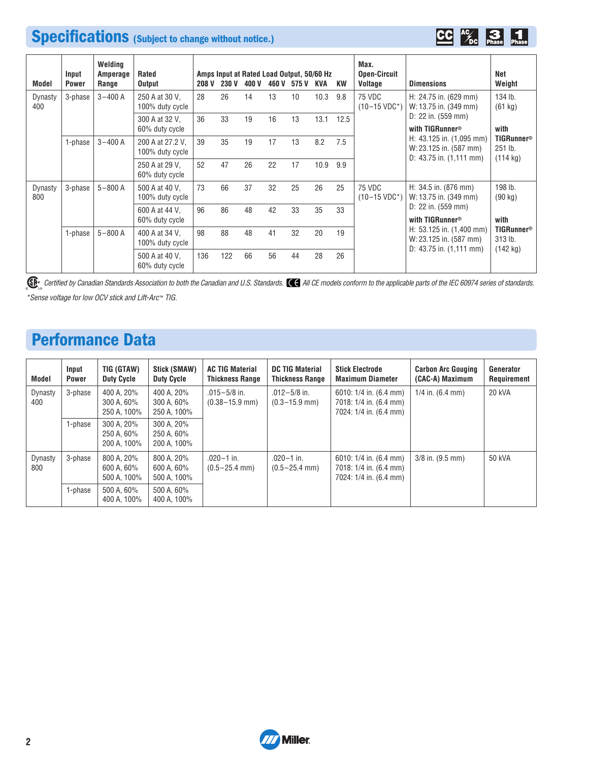## **Specifications (Subject to change without notice.)**



| Model          | Input<br><b>Power</b> | Welding<br>Amperage<br>Range | Rated<br><b>Output</b>              | 208 V | Amps Input at Rated Load Output, 50/60 Hz<br><b>230 V</b> | 400 V | 460 V | 575 V | KVA  | KW   | Max.<br><b>Open-Circuit</b><br>Voltage | <b>Dimensions</b>                                      | Net<br>Weight                           |
|----------------|-----------------------|------------------------------|-------------------------------------|-------|-----------------------------------------------------------|-------|-------|-------|------|------|----------------------------------------|--------------------------------------------------------|-----------------------------------------|
| Dynasty<br>400 | 3-phase               | $3 - 400A$                   | 250 A at 30 V,<br>100% duty cycle   | 28    | 26                                                        | 14    | 13    | 10    | 10.3 | 9.8  | 75 VDC<br>$(10-15 \text{ VDC}^*)$      | H: 24.75 in. (629 mm)<br>W: 13.75 in. (349 mm)         | 134 lb.<br>(61 kg)                      |
|                |                       |                              | 300 A at 32 V.<br>60% duty cycle    | 36    | 33                                                        | 19    | 16    | 13    | 13.1 | 12.5 |                                        | D: 22 in. (559 mm)<br>with TIGRunner®                  | with                                    |
|                | 1-phase               | $3 - 400A$                   | 200 A at 27.2 V.<br>100% duty cycle | 39    | 35                                                        | 19    | 17    | 13    | 8.2  | 7.5  |                                        | H: $43.125$ in. $(1,095$ mm)<br>W: 23.125 in. (587 mm) | <b>TIGRunner®</b><br>251 lb.            |
|                |                       |                              | 250 A at 29 V.<br>60% duty cycle    | 52    | 47                                                        | 26    | 22    | 17    | 10.9 | 9.9  |                                        | D: $43.75$ in. $(1,111$ mm)                            | $(114 \text{ kg})$                      |
| Dynasty<br>800 | 3-phase               | $5 - 800A$                   | 500 A at 40 V.<br>100% duty cycle   | 73    | 66                                                        | 37    | 32    | 25    | 26   | 25   | 75 VDC<br>$(10-15 \text{ VDC}^*)$      | H: 34.5 in. (876 mm)<br>W: 13.75 in. (349 mm)          | 198 lb.<br>$(90 \text{ kg})$            |
|                |                       |                              | 600 A at 44 V.<br>60% duty cycle    | 96    | 86                                                        | 48    | 42    | 33    | 35   | 33   |                                        | D: $22$ in. $(559$ mm)<br>with TIGRunner®              | with                                    |
|                | 1-phase               | $5 - 800$ A                  | 400 A at 34 V.<br>100% duty cycle   | 98    | 88                                                        | 48    | 41    | 32    | 20   | 19   |                                        | H: 53.125 in. (1,400 mm)<br>W: 23.125 in. (587 mm)     | <b>TIGRunner<sup>®</sup></b><br>313 lb. |
|                |                       |                              | 500 A at 40 V.<br>60% duty cycle    | 136   | 122                                                       | 66    | 56    | 44    | 28   | 26   |                                        | D: $43.75$ in. $(1,111$ mm)                            | $(142 \text{ kg})$                      |

*Certified by Canadian Standards Association to both the Canadian and U.S. Standards. All CE models conform to the applicable parts of the IEC 60974 series of standards.* \*Sense voltage for low OCV stick and Lift-Arc™ TIG.

## **Performance Data**

| Model          | Input<br>Power | TIG (GTAW)<br><b>Duty Cycle</b>         | Stick (SMAW)<br><b>Duty Cycle</b>       | <b>AC TIG Material</b><br><b>Thickness Range</b> | <b>DC TIG Material</b><br><b>Thickness Range</b> | <b>Stick Electrode</b><br><b>Maximum Diameter</b>                          | <b>Carbon Arc Gouging</b><br>(CAC-A) Maximum | Generator<br>Requirement |
|----------------|----------------|-----------------------------------------|-----------------------------------------|--------------------------------------------------|--------------------------------------------------|----------------------------------------------------------------------------|----------------------------------------------|--------------------------|
| Dynasty<br>400 | 3-phase        | 400 A, 20%<br>300 A, 60%<br>250 A, 100% | 400 A, 20%<br>300 A, 60%<br>250 A, 100% | $.015 - 5/8$ in.<br>$(0.38 - 15.9$ mm)           | $.012 - 5/8$ in.<br>$(0.3 - 15.9$ mm)            | 6010: 1/4 in. (6.4 mm)<br>7018: 1/4 in. (6.4 mm)<br>7024: 1/4 in. (6.4 mm) | $1/4$ in. (6.4 mm)                           | <b>20 kVA</b>            |
|                | 1-phase        | 300 A, 20%<br>250 A, 60%<br>200 A, 100% | 300 A, 20%<br>250 A, 60%<br>200 A, 100% |                                                  |                                                  |                                                                            |                                              |                          |
| Dynasty<br>800 | 3-phase        | 800 A, 20%<br>600 A, 60%<br>500 A, 100% | 800 A, 20%<br>600 A, 60%<br>500 A, 100% | $.020 - 1$ in.<br>$(0.5 - 25.4$ mm)              | $.020 - 1$ in.<br>$(0.5 - 25.4$ mm)              | 6010: 1/4 in. (6.4 mm)<br>7018: 1/4 in. (6.4 mm)<br>7024: 1/4 in. (6.4 mm) | $3/8$ in. $(9.5$ mm)                         | 50 kVA                   |
|                | 1-phase        | 500 A. 60%<br>400 A, 100%               | 500 A, 60%<br>400 A, 100%               |                                                  |                                                  |                                                                            |                                              |                          |

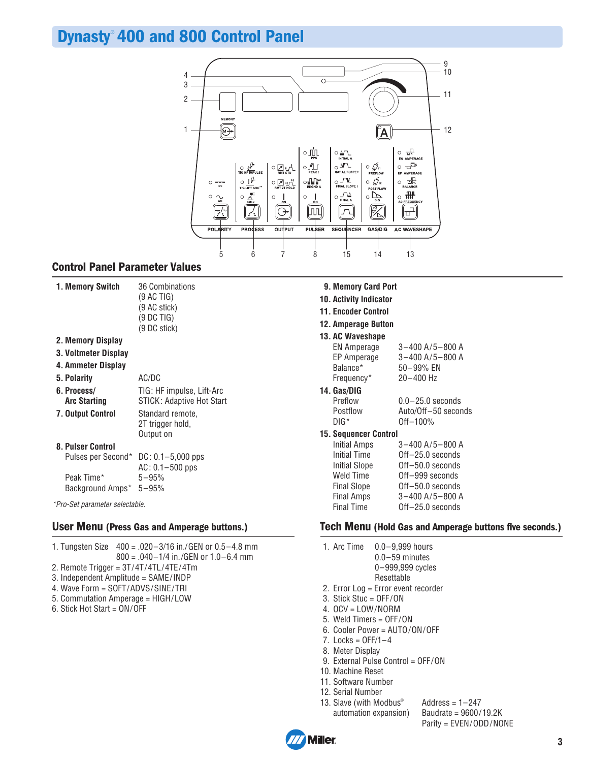## **Dynasty** ® **400 and 800 Control Panel**



### **Control Panel Parameter Values**

| Memory Switch | 36 Combinatio |
|---------------|---------------|
|               | (9 AC TIG)    |
|               | (9 AC stick)  |
|               | (9 DC TIG)    |
|               | (9 DC stick)  |

#### **2. Memory Display**

 **3. Voltmeter Display** 

|  | 4. Ammeter Display |  |  |  |
|--|--------------------|--|--|--|
|--|--------------------|--|--|--|

#### **5. Polarity** AC/DC

- **6. Process/** TIG: HF impulse, Lift-Arc **Arc Starting** STICK: Adaptive Hot Start
- **7. Output Control** Standard remote,
- 

| 2T trigger hold, |
|------------------|
| Output on        |

#### **8. Pulser Control**

| Pulses per Second* DC: 0.1-5,000 pps |                     |
|--------------------------------------|---------------------|
|                                      | $AC: 0.1 - 500$ pps |
| Peak Time*                           | $5 - 95%$           |
| Background Amps* 5-95%               |                     |

\*Pro-Set parameter selectable.

1. Tungsten Size 400 = .020–3/16 in./GEN or 0.5–4.8 mm 800 = .040–1/4 in./GEN or 1.0–6.4 mm 2. Remote Trigger = 3T/4T/4TL/4TE/4Tm 3. Independent Amplitude = SAME/INDP 4. Wave Form = SOFT/ADVS/SINE/TRI 5. Commutation Amperage = HIGH/LOW 6. Stick Hot Start = ON/OFF

- **9. Memory Card Port**
- **10. Activity Indicator**
- **11. Encoder Control**
- **12. Amperage Button**

#### **13. AC Waveshape**

| <b>EN Amperage</b> | $3 - 400$ A/5 $-800$ A |
|--------------------|------------------------|
| EP Amperage        | $3 - 400$ A/5 $-800$ A |
| Balance*           | 50-99% EN              |
| Frequency*         | $20 - 400$ Hz          |
| 14. Gas/DIG        |                        |
| Preflow            | $0.0 - 25.0$ seconds   |
| Postflow           | Auto/Off-50 seconds    |

- 
- DIG\* Off–100%
- **15. Sequencer Control**

| <b>Initial Amps</b>  | $3 - 400$ A/5 $-800$ A |
|----------------------|------------------------|
| <b>Initial Time</b>  | Off-25.0 seconds       |
| <b>Initial Slope</b> | Off-50.0 seconds       |
| <b>Weld Time</b>     | Off-999 seconds        |
| <b>Final Slope</b>   | Off-50.0 seconds       |
| <b>Final Amps</b>    | $3 - 400$ A/5 $-800$ A |
| <b>Final Time</b>    | Off-25.0 seconds       |

#### **User Menu (Press Gas and Amperage buttons.) Tech Menu (Hold Gas and Amperage buttons five seconds.)**

- 1. Arc Time 0.0–9,999 hours 0.0–59 minutes
	- 0–999,999 cycles
- Resettable 2. Error Log = Error event recorder
- 3. Stick Stuc = OFF/ON
- 4. OCV = LOW/NORM
- 5. Weld Timers = OFF/ON
- 6. Cooler Power = AUTO/ON/OFF
- $7.$  Locks = OFF/1 $-4$
- 8. Meter Display
- 9. External Pulse Control = OFF/ON
- 10. Machine Reset
- 11. Software Number
- 12. Serial Number
- 13. Slave (with Modbus®

Address =  $1-247$ automation expansion) Baudrate = 9600/19.2K Parity = EVEN/ODD/NONE

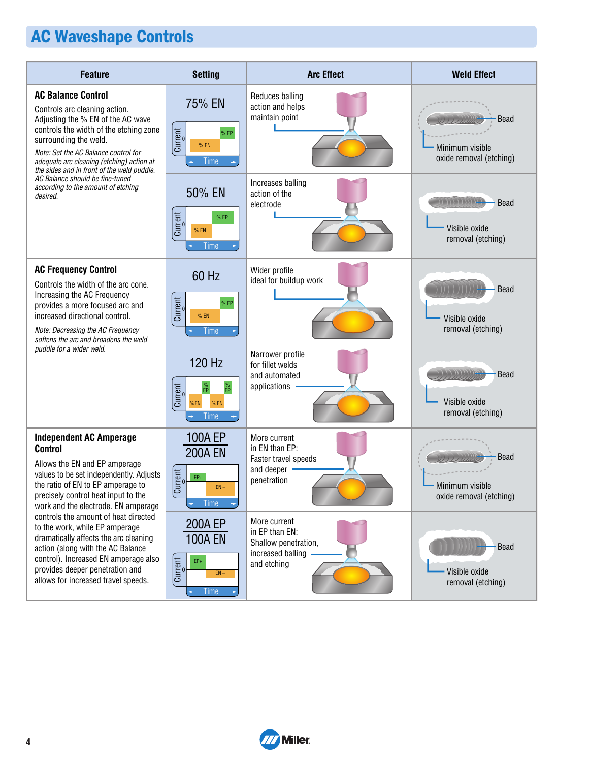# **AC Waveshape Controls**

| <b>Feature</b>                                                                                                                                                                                                                                                                                        | <b>Setting</b>                                                                      | <b>Arc Effect</b>                                                                          | <b>Weld Effect</b>                                                               |
|-------------------------------------------------------------------------------------------------------------------------------------------------------------------------------------------------------------------------------------------------------------------------------------------------------|-------------------------------------------------------------------------------------|--------------------------------------------------------------------------------------------|----------------------------------------------------------------------------------|
| <b>AC Balance Control</b><br>Controls arc cleaning action.<br>Adjusting the % EN of the AC wave<br>controls the width of the etching zone<br>surrounding the weld.<br>Note: Set the AC Balance control for<br>adequate arc cleaning (etching) action at<br>the sides and in front of the weld puddle. | 75% EN<br>Current<br>% EP<br>$%$ EN<br><b>Time</b>                                  | Reduces balling<br>action and helps<br>maintain point                                      | <b>Bead</b><br>Minimum visible<br>oxide removal (etching)                        |
| AC Balance should be fine-tuned<br>according to the amount of etching<br>desired.                                                                                                                                                                                                                     | 50% EN<br>Current<br>%EP<br>$%$ EN<br>Time                                          | Increases balling<br>action of the<br>electrode                                            | 11 111 1111 1 <del>11</del><br><b>Bead</b><br>Visible oxide<br>removal (etching) |
| <b>AC Frequency Control</b><br>Controls the width of the arc cone.<br>Increasing the AC Frequency<br>provides a more focused arc and<br>increased directional control.<br>Note: Decreasing the AC Frequency<br>softens the arc and broadens the weld                                                  | 60 Hz<br>Current<br>%EP<br>$%$ EN<br><b>Time</b>                                    | Wider profile<br>ideal for buildup work                                                    | <b>Bead</b><br>Visible oxide<br>removal (etching)                                |
| puddle for a wider weld.                                                                                                                                                                                                                                                                              | 120 Hz<br>$\frac{\%}{EP}$<br>$96$ <sub>EP</sub><br>Current<br>%EN<br>$%$ EN<br>Time | Narrower profile<br>for fillet welds<br>and automated<br>applications                      | וווווורו<br><b>Bead</b><br>Visible oxide<br>removal (etching)                    |
| <b>Independent AC Amperage</b><br><b>Control</b>                                                                                                                                                                                                                                                      | <b>100A EP</b><br><b>200A EN</b>                                                    | More current<br>in EN than EP:                                                             |                                                                                  |
| Allows the EN and EP amperage<br>values to be set independently. Adjusts<br>the ratio of EN to EP amperage to<br>precisely control heat input to the<br>work and the electrode. EN amperage                                                                                                           | <b>Current</b><br>$EP+$<br>$EN -$<br>Time                                           | Faster travel speeds<br>and deeper<br>penetration                                          | <b>Bead</b><br>Minimum visible<br>oxide removal (etching)                        |
| controls the amount of heat directed<br>to the work, while EP amperage<br>dramatically affects the arc cleaning<br>action (along with the AC Balance<br>control). Increased EN amperage also<br>provides deeper penetration and<br>allows for increased travel speeds.                                | 200A EP<br><b>100A EN</b><br>Current<br>$EP+$<br>$EN -$<br>Time                     | More current<br>in EP than EN:<br>Shallow penetration,<br>increased balling<br>and etching | Bead<br>Visible oxide<br>removal (etching)                                       |

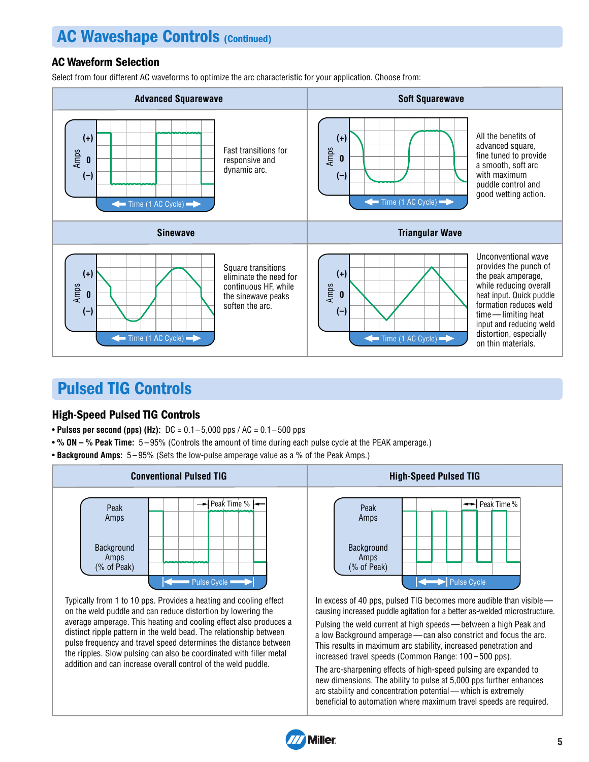## **AC Waveshape Controls (Continued)**

## AC Waveform Selection

Select from four different AC waveforms to optimize the arc characteristic for your application. Choose from:



## **Pulsed TIG Controls**

### High-Speed Pulsed TIG Controls

- **Pulses per second (pps) (Hz):** DC = 0.1 5,000 pps / AC = 0.1 500 pps
- **% ON % Peak Time:** 5 95% (Controls the amount of time during each pulse cycle at the PEAK amperage.)
- **Background Amps:** 5 95% (Sets the low-pulse amperage value as a % of the Peak Amps.)



Typically from 1 to 10 pps. Provides a heating and cooling effect on the weld puddle and can reduce distortion by lowering the average amperage. This heating and cooling effect also produces a distinct ripple pattern in the weld bead. The relationship between pulse frequency and travel speed determines the distance between the ripples. Slow pulsing can also be coordinated with filler metal addition and can increase overall control of the weld puddle.



In excess of 40 pps, pulsed TIG becomes more audible than visible causing increased puddle agitation for a better as-welded microstructure.

Pulsing the weld current at high speeds — between a high Peak and a low Background amperage — can also constrict and focus the arc. This results in maximum arc stability, increased penetration and increased travel speeds (Common Range: 100 – 500 pps).

The arc-sharpening effects of high-speed pulsing are expanded to new dimensions. The ability to pulse at 5,000 pps further enhances arc stability and concentration potential — which is extremely beneficial to automation where maximum travel speeds are required.

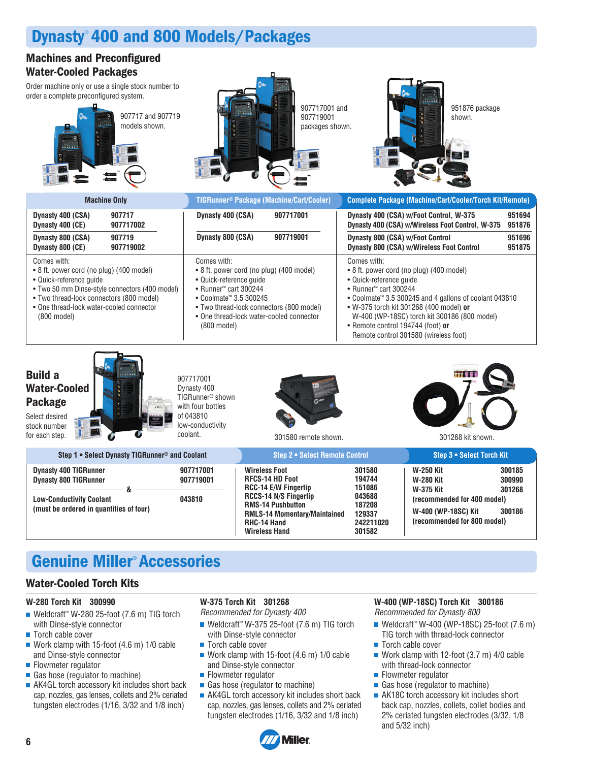## **Dynasty** ® **400 and 800 Models/Packages**

### **Machines and Preconfigured Water-Cooled Packages**

Order machine only or use a single stock number to order a complete preconfigured system.





907717001 and 907719001 packages shown.



951876 package

| <b>Machine Only</b>                                                                                                                                                                                                                                   | TIGRunner <sup>®</sup> Package (Machine/Cart/Cooler)                                                                                                                                                                                                                                        | <b>Complete Package (Machine/Cart/Cooler/Torch Kit/Remote)</b>                                                                                                                                                                                                                                                                                                         |
|-------------------------------------------------------------------------------------------------------------------------------------------------------------------------------------------------------------------------------------------------------|---------------------------------------------------------------------------------------------------------------------------------------------------------------------------------------------------------------------------------------------------------------------------------------------|------------------------------------------------------------------------------------------------------------------------------------------------------------------------------------------------------------------------------------------------------------------------------------------------------------------------------------------------------------------------|
| Dynasty 400 (CSA)<br>907717<br>907717002<br>Dynasty 400 (CE)                                                                                                                                                                                          | Dynasty 400 (CSA)<br>907717001                                                                                                                                                                                                                                                              | Dynasty 400 (CSA) w/Foot Control, W-375<br>951694<br>951876<br>Dynasty 400 (CSA) w/Wireless Foot Control, W-375                                                                                                                                                                                                                                                        |
| Dynasty 800 (CSA)<br>907719<br>Dynasty 800 (CE)<br>907719002                                                                                                                                                                                          | Dynasty 800 (CSA)<br>907719001                                                                                                                                                                                                                                                              | 951696<br>Dynasty 800 (CSA) w/Foot Control<br><b>Dynasty 800 (CSA) w/Wireless Foot Control</b><br>951875                                                                                                                                                                                                                                                               |
| Comes with:<br>• 8 ft. power cord (no plug) (400 model)<br>• Quick-reference quide<br>• Two 50 mm Dinse-style connectors (400 model)<br>• Two thread-lock connectors (800 model)<br>• One thread-lock water-cooled connector<br>$(800 \text{ model})$ | Comes with:<br>• 8 ft. power cord (no plug) (400 model)<br>• Quick-reference quide<br>• Runner <sup>™</sup> cart 300244<br>• Coolmate <sup><math>M</math></sup> 3.5 300245<br>• Two thread-lock connectors (800 model)<br>• One thread-lock water-cooled connector<br>$(800 \text{ model})$ | Comes with:<br>• 8 ft. power cord (no plug) (400 model)<br>• Quick-reference quide<br>• Runner <sup>™</sup> cart 300244<br>• Coolmate <sup>™</sup> 3.5 300245 and 4 gallons of coolant 043810<br>• W-375 torch kit 301268 (400 model) or<br>W-400 (WP-18SC) torch kit 300186 (800 model)<br>• Remote control 194744 (foot) or<br>Remote control 301580 (wireless foot) |

## **Build a Water-Cooled Package**

Select desired stock number for each step.



907717001 Dynasty 400 TIGRunner® shown with four bottles of 043810 low-conductivity coolant.



301580 remote shown. 301268 kit shown.



| Step 1 • Select Dynasty TIGRunner <sup>®</sup> and Coolant                                                                                 |                                  | Step 2 . Select Remote Control                                                                                                                                                                                          |                                                                                 | Step 3 . Select Torch Kit                                                                                                       |                                      |
|--------------------------------------------------------------------------------------------------------------------------------------------|----------------------------------|-------------------------------------------------------------------------------------------------------------------------------------------------------------------------------------------------------------------------|---------------------------------------------------------------------------------|---------------------------------------------------------------------------------------------------------------------------------|--------------------------------------|
| <b>Dynasty 400 TIGRunner</b><br><b>Dynasty 800 TIGRunner</b><br><b>Low-Conductivity Coolant</b><br>(must be ordered in quantities of four) | 907717001<br>907719001<br>043810 | <b>Wireless Foot</b><br><b>RFCS-14 HD Foot</b><br><b>RCC-14 E/W Fingertip</b><br><b>RCCS-14 N/S Fingertip</b><br><b>RMS-14 Pushbutton</b><br><b>RMLS-14 Momentary/Maintained</b><br>RHC-14 Hand<br><b>Wireless Hand</b> | 301580<br>194744<br>151086<br>043688<br>187208<br>129337<br>242211020<br>301582 | W-250 Kit<br><b>W-280 Kit</b><br>W-375 Kit<br>(recommended for 400 model)<br>W-400 (WP-18SC) Kit<br>(recommended for 800 model) | 300185<br>300990<br>301268<br>300186 |

## **Genuine Miller** ® **Accessories**

### **Water-Cooled Torch Kits**

#### **W-280 Torch Kit 300990**

- Weldcraft™ W-280 25-foot (7.6 m) TIG torch with Dinse-style connector
- Torch cable cover
- Work clamp with 15-foot (4.6 m) 1/0 cable and Dinse-style connector
- Flowmeter regulator
- Gas hose (regulator to machine)
- AK4GL torch accessory kit includes short back cap, nozzles, gas lenses, collets and 2% ceriated tungsten electrodes (1/16, 3/32 and 1/8 inch)

#### **W-375 Torch Kit 301268** Recommended for Dynasty 400

- Weldcraft™ W-375 25-foot (7.6 m) TIG torch with Dinse-style connector
- Torch cable cover
- Work clamp with 15-foot (4.6 m) 1/0 cable and Dinse-style connector
- Flowmeter regulator
- Gas hose (regulator to machine)
- AK4GL torch accessory kit includes short back cap, nozzles, gas lenses, collets and 2% ceriated tungsten electrodes (1/16, 3/32 and 1/8 inch)

## **W-400 (WP-18SC) Torch Kit 300186**

Recommended for Dynasty 800

- Weldcraft™ W-400 (WP-18SC) 25-foot (7.6 m) TIG torch with thread-lock connector
- Torch cable cover
- Work clamp with 12-foot (3.7 m) 4/0 cable with thread-lock connector
- Flowmeter regulator
- Gas hose (regulator to machine)
- AK18C torch accessory kit includes short back cap, nozzles, collets, collet bodies and 2% ceriated tungsten electrodes (3/32, 1/8 and 5/32 inch)

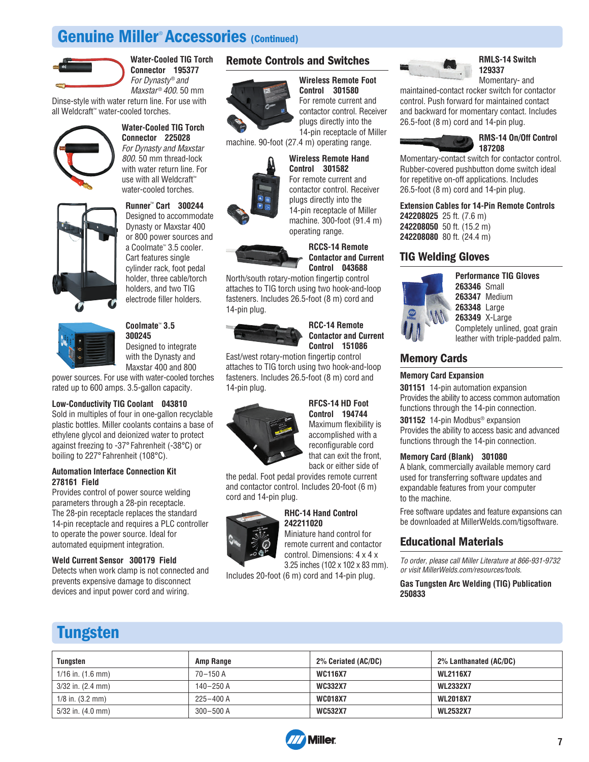## Genuine Miller<sup>®</sup> Accessories (Continued)



**Water-Cooled TIG Torch Connector 195377** For Dynasty® and Maxstar® 400. 50 mm

Dinse-style with water return line. For use with all Weldcraft™ water-cooled torches.



#### **Water-Cooled TIG Torch Connector 225028** For Dynasty and Maxstar 800. 50 mm thread-lock with water return line. For use with all Weldcraft™



water-cooled torches. **Runner**™  **Cart 300244** Designed to accommodate Dynasty or Maxstar 400 or 800 power sources and a Coolmate™ 3.5 cooler. Cart features single cylinder rack, foot pedal holder, three cable/torch holders, and two TIG electrode filler holders.



**Coolmate**™  **3.5 300245** Designed to integrate

with the Dynasty and Maxstar 400 and 800

power sources. For use with water-cooled torches rated up to 600 amps. 3.5-gallon capacity.

#### **Low-Conductivity TIG Coolant 043810**

Sold in multiples of four in one-gallon recyclable plastic bottles. Miller coolants contains a base of ethylene glycol and deionized water to protect against freezing to -37° Fahrenheit (-38°C) or boiling to 227° Fahrenheit (108°C).

#### **Automation Interface Connection Kit 278161 Field**

Provides control of power source welding parameters through a 28-pin receptacle. The 28-pin receptacle replaces the standard 14-pin receptacle and requires a PLC controller to operate the power source. Ideal for automated equipment integration.

#### **Weld Current Sensor 300179 Field**

Detects when work clamp is not connected and prevents expensive damage to disconnect devices and input power cord and wiring.

#### **Remote Controls and Switches**

### **Wireless Remote Foot**



**Control 301580** For remote current and contactor control. Receiver plugs directly into the 14-pin receptacle of Miller

**Wireless Remote Hand Control 301582** For remote current and contactor control. Receiver

machine. 90-foot (27.4 m) operating range.



### **Contactor and Current Control 043688**

attaches to TIG torch using two hook-and-loop fasteners. Includes 26.5-foot (8 m) cord and 14-pin plug.



## **Contactor and Current Control 151086**

attaches to TIG torch using two hook-and-loop fasteners. Includes 26.5-foot (8 m) cord and 14-pin plug.



#### **RFCS-14 HD Foot Control 194744**

Maximum flexibility is accomplished with a reconfigurable cord that can exit the front, back or either side of

the pedal. Foot pedal provides remote current and contactor control. Includes 20-foot (6 m) cord and 14-pin plug.

#### **RHC-14 Hand Control 242211020** Miniature hand control for

remote current and contactor control. Dimensions: 4 x 4 x 3.25 inches (102 x 102 x 83 mm).

Includes 20-foot (6 m) cord and 14-pin plug.



#### **RMLS-14 Switch 129337**

Momentary- and

maintained-contact rocker switch for contactor control. Push forward for maintained contact and backward for momentary contact. Includes 26.5-foot (8 m) cord and 14-pin plug.



Momentary-contact switch for contactor control. Rubber-covered pushbutton dome switch ideal for repetitive on-off applications. Includes 26.5-foot (8 m) cord and 14-pin plug.

**Extension Cables for 14-Pin Remote Controls 242208025** 25 ft. (7.6 m)

**242208050** 50 ft. (15.2 m) **242208080** 80 ft. (24.4 m)

### **TIG Welding Gloves**



**Performance TIG Gloves 263346** Small **263347** Medium **263348** Large **263349** X-Large Completely unlined, goat grain leather with triple-padded palm.

### **Memory Cards**

#### **Memory Card Expansion**

**301151** 14-pin automation expansion Provides the ability to access common automation functions through the 14-pin connection.

**301152** 14-pin Modbus® expansion Provides the ability to access basic and advanced functions through the 14-pin connection.

#### **Memory Card (Blank) 301080**

A blank, commercially available memory card used for transferring software updates and expandable features from your computer to the machine.

Free software updates and feature expansions can be downloaded at MillerWelds.com/tigsoftware.

#### **Educational Materials**

To order, please call Miller Literature at 866-931-9732 or visit MillerWelds.com/resources/tools.

**Gas Tungsten Arc Welding (TIG) Publication 250833**

## **Tungsten**

| Tungsten                      | Amp Range     | 2% Ceriated (AC/DC) | 2% Lanthanated (AC/DC) |
|-------------------------------|---------------|---------------------|------------------------|
| $1/16$ in. $(1.6$ mm)         | 70-150 A      | <b>WC116X7</b>      | <b>WL2116X7</b>        |
| $3/32$ in. $(2.4 \text{ mm})$ | $140 - 250$ A | <b>WC332X7</b>      | <b>WL2332X7</b>        |
| $1/8$ in. $(3.2$ mm)          | $225 - 400$ A | <b>WC018X7</b>      | <b>WL2018X7</b>        |
| $5/32$ in. $(4.0 \text{ mm})$ | $300 - 500$ A | <b>WC532X7</b>      | <b>WL2532X7</b>        |



#### plugs directly into the 14-pin receptacle of Miller machine. 300-foot (91.4 m) operating range.

**RCCS-14 Remote**

North/south rotary-motion fingertip control

**RCC-14 Remote**

East/west rotary-motion fingertip control